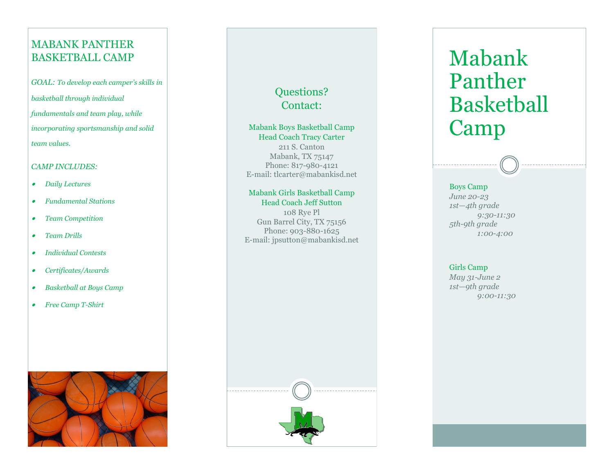## MABANK PANTHER BASKETBALL CAMP

*GOAL: To develop each camper 's skills in basketball through individual fundamentals and team play, while incorporating sportsmanship and solid team values.*

#### *CAMP INCLUDES:*

- •*Daily Lectures*
- •*Fundamental Stations*
- •*Team Competition*
- •*Team Drills*
- •*Individual Contests*
- •*Certificates/Awards*
- •*Basketball at Boys Camp*
- •*Free Camp T-Shirt*



# Questions? Contact:

#### Mabank Boys Basketball Camp Head Coach Tracy Carter 211 S. Canton

Mabank, TX 75147 Phone: 817-980-4121 E -mail: tlcarter@mabankisd.net

#### Mabank Girls Basketball Camp Head Coach Jeff Sutton

108 Rye Pl Gun Barrel City, TX 75156 Phone: 903 -880 -1625 E -mail: jpsutton@mabankisd.net



#### Boys Camp

*June 20 -23 1st — 4th grade 9:30 -11:30 5th -9th grade 1:00 -4:00* 

#### Girls Camp

*May 31 -June 2 1st — 9th grade 9:00 -11:30*